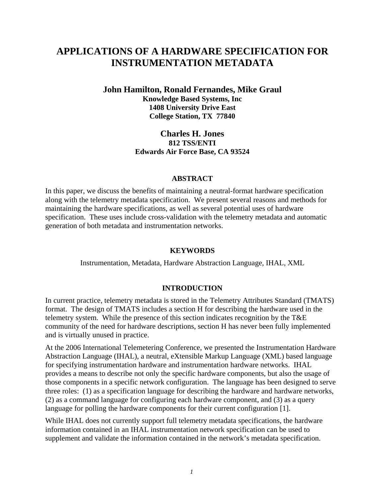# **APPLICATIONS OF A HARDWARE SPECIFICATION FOR INSTRUMENTATION METADATA**

**John Hamilton, Ronald Fernandes, Mike Graul Knowledge Based Systems, Inc 1408 University Drive East College Station, TX 77840** 

> **Charles H. Jones 812 TSS/ENTI Edwards Air Force Base, CA 93524**

#### **ABSTRACT**

In this paper, we discuss the benefits of maintaining a neutral-format hardware specification along with the telemetry metadata specification. We present several reasons and methods for maintaining the hardware specifications, as well as several potential uses of hardware specification. These uses include cross-validation with the telemetry metadata and automatic generation of both metadata and instrumentation networks.

#### **KEYWORDS**

Instrumentation, Metadata, Hardware Abstraction Language, IHAL, XML

### **INTRODUCTION**

In current practice, telemetry metadata is stored in the Telemetry Attributes Standard (TMATS) format. The design of TMATS includes a section H for describing the hardware used in the telemetry system. While the presence of this section indicates recognition by the T&E community of the need for hardware descriptions, section H has never been fully implemented and is virtually unused in practice.

At the 2006 International Telemetering Conference, we presented the Instrumentation Hardware Abstraction Language (IHAL), a neutral, eXtensible Markup Language (XML) based language for specifying instrumentation hardware and instrumentation hardware networks. IHAL provides a means to describe not only the specific hardware components, but also the usage of those components in a specific network configuration. The language has been designed to serve three roles: (1) as a specification language for describing the hardware and hardware networks, (2) as a command language for configuring each hardware component, and (3) as a query language for polling the hardware components for their current configuration [1].

While IHAL does not currently support full telemetry metadata specifications, the hardware information contained in an IHAL instrumentation network specification can be used to supplement and validate the information contained in the network's metadata specification.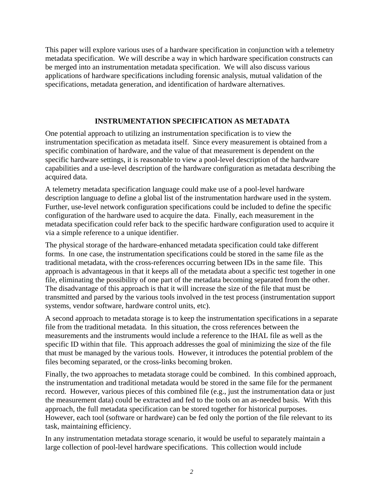This paper will explore various uses of a hardware specification in conjunction with a telemetry metadata specification. We will describe a way in which hardware specification constructs can be merged into an instrumentation metadata specification. We will also discuss various applications of hardware specifications including forensic analysis, mutual validation of the specifications, metadata generation, and identification of hardware alternatives.

## **INSTRUMENTATION SPECIFICATION AS METADATA**

One potential approach to utilizing an instrumentation specification is to view the instrumentation specification as metadata itself. Since every measurement is obtained from a specific combination of hardware, and the value of that measurement is dependent on the specific hardware settings, it is reasonable to view a pool-level description of the hardware capabilities and a use-level description of the hardware configuration as metadata describing the acquired data.

A telemetry metadata specification language could make use of a pool-level hardware description language to define a global list of the instrumentation hardware used in the system. Further, use-level network configuration specifications could be included to define the specific configuration of the hardware used to acquire the data. Finally, each measurement in the metadata specification could refer back to the specific hardware configuration used to acquire it via a simple reference to a unique identifier.

The physical storage of the hardware-enhanced metadata specification could take different forms. In one case, the instrumentation specifications could be stored in the same file as the traditional metadata, with the cross-references occurring between IDs in the same file. This approach is advantageous in that it keeps all of the metadata about a specific test together in one file, eliminating the possibility of one part of the metadata becoming separated from the other. The disadvantage of this approach is that it will increase the size of the file that must be transmitted and parsed by the various tools involved in the test process (instrumentation support systems, vendor software, hardware control units, etc).

A second approach to metadata storage is to keep the instrumentation specifications in a separate file from the traditional metadata. In this situation, the cross references between the measurements and the instruments would include a reference to the IHAL file as well as the specific ID within that file. This approach addresses the goal of minimizing the size of the file that must be managed by the various tools. However, it introduces the potential problem of the files becoming separated, or the cross-links becoming broken.

Finally, the two approaches to metadata storage could be combined. In this combined approach, the instrumentation and traditional metadata would be stored in the same file for the permanent record. However, various pieces of this combined file (e.g., just the instrumentation data or just the measurement data) could be extracted and fed to the tools on an as-needed basis. With this approach, the full metadata specification can be stored together for historical purposes. However, each tool (software or hardware) can be fed only the portion of the file relevant to its task, maintaining efficiency.

In any instrumentation metadata storage scenario, it would be useful to separately maintain a large collection of pool-level hardware specifications. This collection would include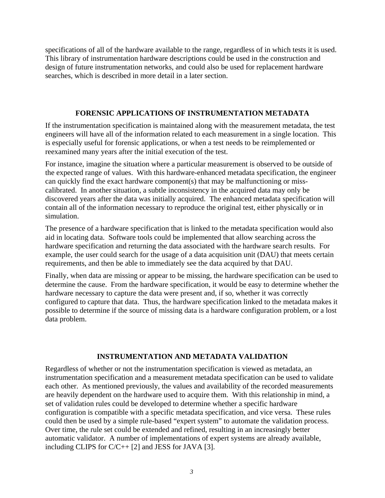specifications of all of the hardware available to the range, regardless of in which tests it is used. This library of instrumentation hardware descriptions could be used in the construction and design of future instrumentation networks, and could also be used for replacement hardware searches, which is described in more detail in a later section.

### **FORENSIC APPLICATIONS OF INSTRUMENTATION METADATA**

If the instrumentation specification is maintained along with the measurement metadata, the test engineers will have all of the information related to each measurement in a single location. This is especially useful for forensic applications, or when a test needs to be reimplemented or reexamined many years after the initial execution of the test.

For instance, imagine the situation where a particular measurement is observed to be outside of the expected range of values. With this hardware-enhanced metadata specification, the engineer can quickly find the exact hardware component(s) that may be malfunctioning or misscalibrated. In another situation, a subtle inconsistency in the acquired data may only be discovered years after the data was initially acquired. The enhanced metadata specification will contain all of the information necessary to reproduce the original test, either physically or in simulation.

The presence of a hardware specification that is linked to the metadata specification would also aid in locating data. Software tools could be implemented that allow searching across the hardware specification and returning the data associated with the hardware search results. For example, the user could search for the usage of a data acquisition unit (DAU) that meets certain requirements, and then be able to immediately see the data acquired by that DAU.

Finally, when data are missing or appear to be missing, the hardware specification can be used to determine the cause. From the hardware specification, it would be easy to determine whether the hardware necessary to capture the data were present and, if so, whether it was correctly configured to capture that data. Thus, the hardware specification linked to the metadata makes it possible to determine if the source of missing data is a hardware configuration problem, or a lost data problem.

#### **INSTRUMENTATION AND METADATA VALIDATION**

Regardless of whether or not the instrumentation specification is viewed as metadata, an instrumentation specification and a measurement metadata specification can be used to validate each other. As mentioned previously, the values and availability of the recorded measurements are heavily dependent on the hardware used to acquire them. With this relationship in mind, a set of validation rules could be developed to determine whether a specific hardware configuration is compatible with a specific metadata specification, and vice versa. These rules could then be used by a simple rule-based "expert system" to automate the validation process. Over time, the rule set could be extended and refined, resulting in an increasingly better automatic validator. A number of implementations of expert systems are already available, including CLIPS for C/C++ [2] and JESS for JAVA [3].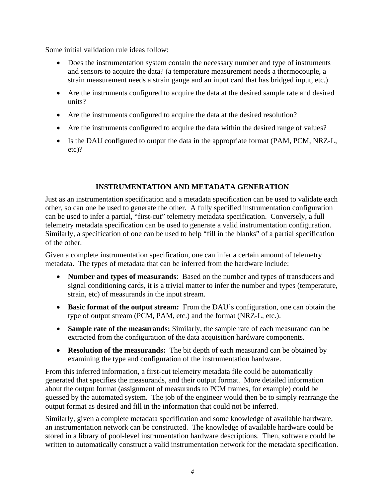Some initial validation rule ideas follow:

- Does the instrumentation system contain the necessary number and type of instruments and sensors to acquire the data? (a temperature measurement needs a thermocouple, a strain measurement needs a strain gauge and an input card that has bridged input, etc.)
- Are the instruments configured to acquire the data at the desired sample rate and desired units?
- Are the instruments configured to acquire the data at the desired resolution?
- Are the instruments configured to acquire the data within the desired range of values?
- Is the DAU configured to output the data in the appropriate format (PAM, PCM, NRZ-L, etc)?

## **INSTRUMENTATION AND METADATA GENERATION**

Just as an instrumentation specification and a metadata specification can be used to validate each other, so can one be used to generate the other. A fully specified instrumentation configuration can be used to infer a partial, "first-cut" telemetry metadata specification. Conversely, a full telemetry metadata specification can be used to generate a valid instrumentation configuration. Similarly, a specification of one can be used to help "fill in the blanks" of a partial specification of the other.

Given a complete instrumentation specification, one can infer a certain amount of telemetry metadata. The types of metadata that can be inferred from the hardware include:

- **Number and types of measurands**: Based on the number and types of transducers and signal conditioning cards, it is a trivial matter to infer the number and types (temperature, strain, etc) of measurands in the input stream.
- **Basic format of the output stream:** From the DAU's configuration, one can obtain the type of output stream (PCM, PAM, etc.) and the format (NRZ-L, etc.).
- **Sample rate of the measurands:** Similarly, the sample rate of each measurand can be extracted from the configuration of the data acquisition hardware components.
- **Resolution of the measurands:** The bit depth of each measurand can be obtained by examining the type and configuration of the instrumentation hardware.

From this inferred information, a first-cut telemetry metadata file could be automatically generated that specifies the measurands, and their output format. More detailed information about the output format (assignment of measurands to PCM frames, for example) could be guessed by the automated system. The job of the engineer would then be to simply rearrange the output format as desired and fill in the information that could not be inferred.

Similarly, given a complete metadata specification and some knowledge of available hardware, an instrumentation network can be constructed. The knowledge of available hardware could be stored in a library of pool-level instrumentation hardware descriptions. Then, software could be written to automatically construct a valid instrumentation network for the metadata specification.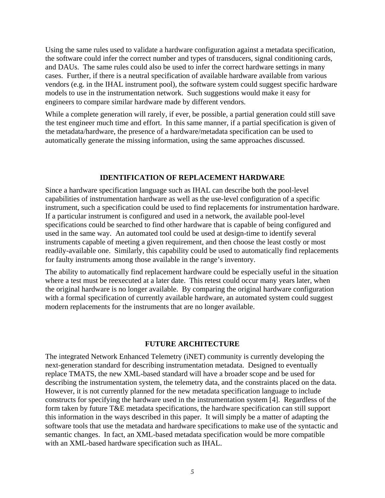Using the same rules used to validate a hardware configuration against a metadata specification, the software could infer the correct number and types of transducers, signal conditioning cards, and DAUs. The same rules could also be used to infer the correct hardware settings in many cases. Further, if there is a neutral specification of available hardware available from various vendors (e.g. in the IHAL instrument pool), the software system could suggest specific hardware models to use in the instrumentation network. Such suggestions would make it easy for engineers to compare similar hardware made by different vendors.

While a complete generation will rarely, if ever, be possible, a partial generation could still save the test engineer much time and effort. In this same manner, if a partial specification is given of the metadata/hardware, the presence of a hardware/metadata specification can be used to automatically generate the missing information, using the same approaches discussed.

#### **IDENTIFICATION OF REPLACEMENT HARDWARE**

Since a hardware specification language such as IHAL can describe both the pool-level capabilities of instrumentation hardware as well as the use-level configuration of a specific instrument, such a specification could be used to find replacements for instrumentation hardware. If a particular instrument is configured and used in a network, the available pool-level specifications could be searched to find other hardware that is capable of being configured and used in the same way. An automated tool could be used at design-time to identify several instruments capable of meeting a given requirement, and then choose the least costly or most readily-available one. Similarly, this capability could be used to automatically find replacements for faulty instruments among those available in the range's inventory.

The ability to automatically find replacement hardware could be especially useful in the situation where a test must be reexecuted at a later date. This retest could occur many years later, when the original hardware is no longer available. By comparing the original hardware configuration with a formal specification of currently available hardware, an automated system could suggest modern replacements for the instruments that are no longer available.

#### **FUTURE ARCHITECTURE**

The integrated Network Enhanced Telemetry (iNET) community is currently developing the next-generation standard for describing instrumentation metadata. Designed to eventually replace TMATS, the new XML-based standard will have a broader scope and be used for describing the instrumentation system, the telemetry data, and the constraints placed on the data. However, it is not currently planned for the new metadata specification language to include constructs for specifying the hardware used in the instrumentation system [4]. Regardless of the form taken by future T&E metadata specifications, the hardware specification can still support this information in the ways described in this paper. It will simply be a matter of adapting the software tools that use the metadata and hardware specifications to make use of the syntactic and semantic changes. In fact, an XML-based metadata specification would be more compatible with an XML-based hardware specification such as IHAL.